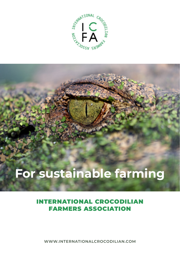

# **For sustainable farming**

## INTERNATIONAL CROCODILIAN FARMERS ASSOCIATION

**WWW.INTERNATIONALCROCODILIAN.COM**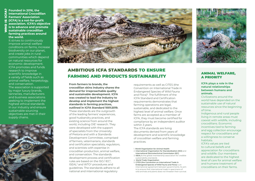**G** Founded in 2016, the<br> **L** International Crocodi<br> **L** Farmers' Association<br> **M** (ICFA) is a not-for-pro<br> **O** association. ICFA's ob<br> **T** is to advance and pro<br>
S sustainable crocodilia **International Crocodilian Farmers' Association (ICFA) is a not-for-profit association. ICFA's objective is to advance and promote sustainable crocodilian farming practices around the world.** 

It strives to continuously improve animal welfare conditions on farms, increase biodiversity on our planet, and create jobs in rural communities which depend on natural resources for economic development. ICFA promotes and funds research to improve scientific knowledge in a variety of fields such as animal welfare, herpetology, and conservation. The association is supported by major luxury brands, tanneries, manufacturers and business associations seeking to implement the highest ethical standards in our industry and ensure sustainable sourcing objectives are met in their supply chains.





## AMBITIOUS ICFA STANDARDS TO ENSURE FARMING AND PRODUCTS SUSTAINABILITY

**From farmers to brands, the crocodilian skins industry shares the demand for irreproachable quality and sustainable development. ICFA was created to lead the industry to develop and implement the highest standards in farming practices, outlined in ICFA Standard 1001:2019.**  These standards are the outgrowth of the leading farmers' experiences, good husbandry practices, and existing science from around the world, including OIE<sup>1</sup> research. They were developed with the support of specialists from the University of Pretoria and with a Standards Development Committee, comprised of farmers, veterinarians, standards and certification specialists, regulators, and scientists with expertise in crocodilian production, animal welfare, and conservation. The standards development process and certification rules are based on the ISO/IEC<sup>2</sup>, ISEAL<sup>3</sup> and WTO<sup>4</sup> procedures and guidelines. The standards adhere to all national and international regulatory

requirements as well as CITES (the Convention on International Trade in Endangered Species of Wild Fauna and Flora)<sup>5</sup>. The fulfillment of the ICFA Standard and Certification requirements demonstrates that farming operations are legal. sustainable, and dedicated to the highest level of animal welfare. Once farms are accepted as a member of ICFA, they must become certified for compliance by an independent auditor within 3 years.

The ICFA standards are living documents derived from years of development and scientific knowledge of crocodilian welfare and farming practices.

#### 1. **World Organisation for Animal Health**

- 2. **International Organization for Standardization (ISO)** and **International Electrotechnical Commission (IEC)**
- 3. **ISEAL i**s the global membership association for credible sustainability standards
- 4. **World Trade Organization**
- 5. **CITES (the Convention on International Trade in Endangered Species of Wild Fauna and Flora)** is an international agreement between governments. Its aim is to ensure that international trade in specimens of wild animals and plants does not threaten their survival.

## ANIMAL WELFARE, A PRIORITY

### **ICFA plays a role in the natural relationships between humans and animals.**

Civilizations around the world have depended on the sustainable use of natural resources since the beginning of time.

Indigenous and rural people living in remote areas must coexist with wildlife, including crocodilians. Economic incentives tied to farming and egg collection encourage respect for crocodilians and a willingness to conserve habitats.

ICFA's values are tied to cultural beliefs and appreciation for crocodilians and wildlife. Our members are dedicated to the highest level of care for animal welfare and humane treatment of crocodilians on their farms.